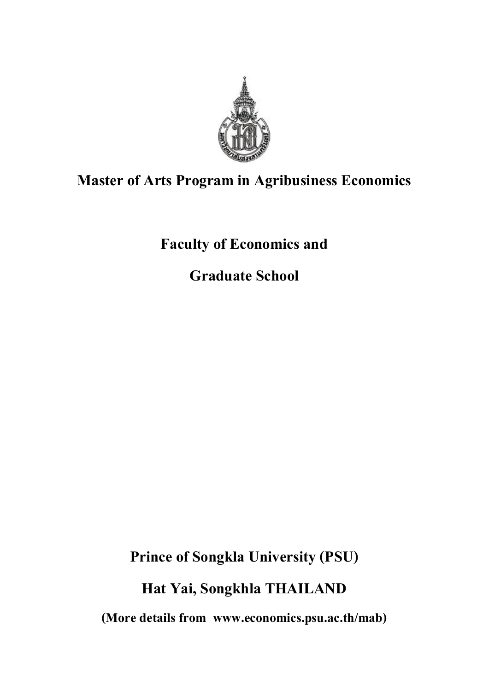

# **Master of Arts Program in Agribusiness Economics**

**Faculty of Economics and**

**Graduate School**

**Prince of Songkla University (PSU)**

**Hat Yai, Songkhla THAILAND**

**(More details from www.economics.psu.ac.th/mab)**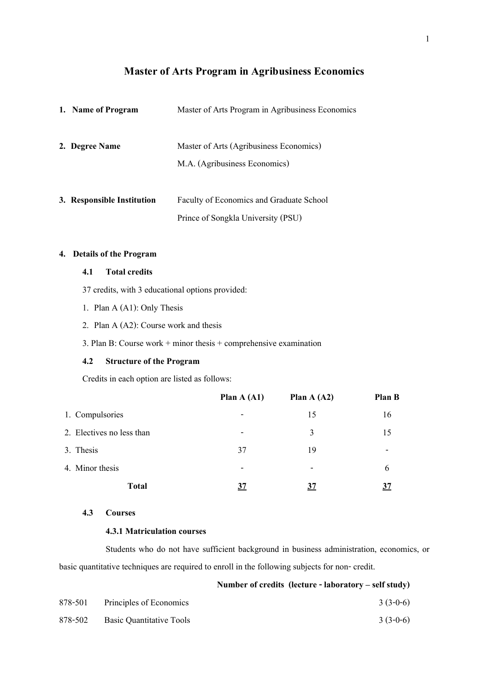# **Master of Arts Program in Agribusiness Economics**

| 1. Name of Program         | Master of Arts Program in Agribusiness Economics |
|----------------------------|--------------------------------------------------|
| 2. Degree Name             | Master of Arts (Agribusiness Economics)          |
|                            | M.A. (Agribusiness Economics)                    |
|                            |                                                  |
| 3. Responsible Institution | Faculty of Economics and Graduate School         |
|                            | Prince of Songkla University (PSU)               |

### **4. Details of the Program**

### **4.1 Total credits**

- 37 credits, with 3 educational options provided:
- 1. Plan A (A1): Only Thesis
- 2. Plan A (A2): Course work and thesis
- 3. Plan B: Course work  $+$  minor thesis  $+$  comprehensive examination

### **4.2 Structure of the Program**

Credits in each option are listed as follows:

|                           | Plan $A(Al)$             | Plan $A(42)$             | Plan B                   |
|---------------------------|--------------------------|--------------------------|--------------------------|
| 1. Compulsories           | -                        | 15                       | 16                       |
| 2. Electives no less than | $\overline{\phantom{0}}$ | 3                        | 15                       |
| 3. Thesis                 | 37                       | 19                       | $\overline{\phantom{a}}$ |
| 4. Minor thesis           | $\overline{\phantom{0}}$ | $\overline{\phantom{a}}$ | 6                        |
| <b>Total</b>              | 37                       | <u>37</u>                |                          |

### **4.3 Courses**

#### **4.3.1 Matriculation courses**

Students who do not have sufficient background in business administration, economics, or basic quantitative techniques are required to enroll in the following subjects for non- credit.

**Number of credits (lecture - laboratory – self study)**

| 878-501 | Principles of Economics  | $3(3-0-6)$ |
|---------|--------------------------|------------|
| 878-502 | Basic Quantitative Tools | $3(3-0-6)$ |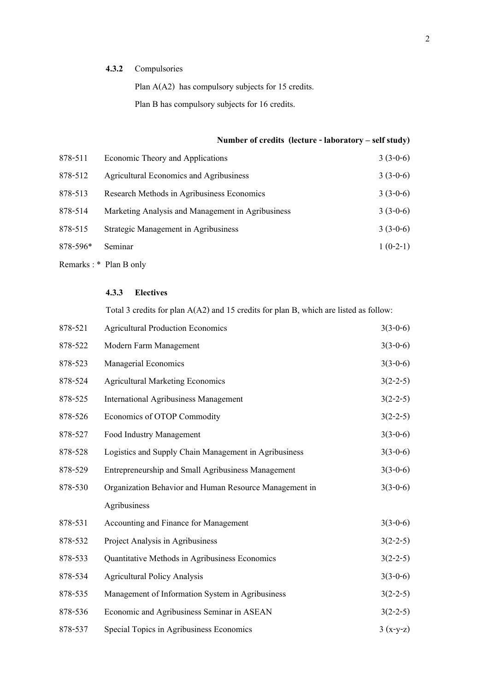### **4.3.2** Compulsories

Plan A(A2) has compulsory subjects for 15 credits.

Plan B has compulsory subjects for 16 credits.

## **Number of credits (lecture - laboratory – self study)**

| 878-511  | Economic Theory and Applications                  | $3(3-0-6)$ |
|----------|---------------------------------------------------|------------|
| 878-512  | <b>Agricultural Economics and Agribusiness</b>    | $3(3-0-6)$ |
| 878-513  | Research Methods in Agribusiness Economics        | $3(3-0-6)$ |
| 878-514  | Marketing Analysis and Management in Agribusiness | $3(3-0-6)$ |
| 878-515  | Strategic Management in Agribusiness              | $3(3-0-6)$ |
| 878-596* | Seminar                                           | $1(0-2-1)$ |
|          | Remarks: * Plan B only                            |            |

### **4.3.3 Electives**

Total 3 credits for plan A(A2) and 15 credits for plan B, which are listed as follow:

| 878-521 | <b>Agricultural Production Economics</b>               | $3(3-0-6)$ |
|---------|--------------------------------------------------------|------------|
| 878-522 | Modern Farm Management                                 | $3(3-0-6)$ |
| 878-523 | Managerial Economics                                   | $3(3-0-6)$ |
| 878-524 | <b>Agricultural Marketing Economics</b>                | $3(2-2-5)$ |
| 878-525 | <b>International Agribusiness Management</b>           | $3(2-2-5)$ |
| 878-526 | Economics of OTOP Commodity                            | $3(2-2-5)$ |
| 878-527 | Food Industry Management                               | $3(3-0-6)$ |
| 878-528 | Logistics and Supply Chain Management in Agribusiness  | $3(3-0-6)$ |
| 878-529 | Entrepreneurship and Small Agribusiness Management     | $3(3-0-6)$ |
| 878-530 | Organization Behavior and Human Resource Management in | $3(3-0-6)$ |
|         | Agribusiness                                           |            |
| 878-531 | Accounting and Finance for Management                  | $3(3-0-6)$ |
| 878-532 | Project Analysis in Agribusiness                       | $3(2-2-5)$ |
| 878-533 | Quantitative Methods in Agribusiness Economics         | $3(2-2-5)$ |
| 878-534 | <b>Agricultural Policy Analysis</b>                    | $3(3-0-6)$ |
| 878-535 | Management of Information System in Agribusiness       | $3(2-2-5)$ |
| 878-536 | Economic and Agribusiness Seminar in ASEAN             | $3(2-2-5)$ |
| 878-537 | Special Topics in Agribusiness Economics               | $3(x-y-z)$ |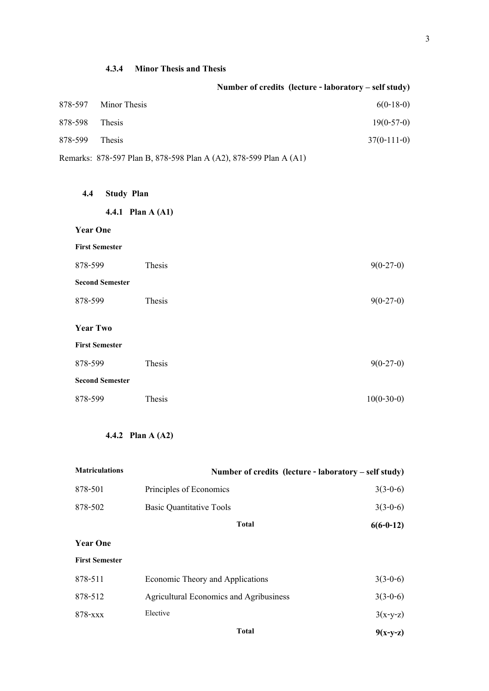|         |                      | Number of credits (lecture - laboratory – self study) |
|---------|----------------------|-------------------------------------------------------|
|         | 878-597 Minor Thesis | $6(0-18-0)$                                           |
| 878-598 | Thesis               | $19(0-57-0)$                                          |
| 878-599 | Thesis               | $37(0-111-0)$                                         |
|         |                      |                                                       |

| 4.3.4 | <b>Minor Thesis and Thesis</b> |  |  |
|-------|--------------------------------|--|--|
|       |                                |  |  |

| Remarks: 878-597 Plan B, 878-598 Plan A (A2), 878-599 Plan A (A1) |  |  |
|-------------------------------------------------------------------|--|--|
|                                                                   |  |  |

| <b>Study Plan</b><br>4.4 |  |
|--------------------------|--|
|--------------------------|--|

**First Semester**

| 878-599                | Thesis | $9(0-27-0)$ |  |
|------------------------|--------|-------------|--|
| <b>Second Semester</b> |        |             |  |
| 878-599                | Thesis | $9(0-27-0)$ |  |
| <b>Year Two</b>        |        |             |  |
| <b>First Semester</b>  |        |             |  |
| 878-599                | Thesis | $9(0-27-0)$ |  |
| <b>Second Semester</b> |        |             |  |

878-599 Thesis 10(0-30-0)

# **4.4.2 Plan A (A2)**

| <b>Matriculations</b> | Number of credits (lecture - laboratory – self study) |             |
|-----------------------|-------------------------------------------------------|-------------|
| 878-501               | Principles of Economics                               | $3(3-0-6)$  |
| 878-502               | <b>Basic Quantitative Tools</b>                       | $3(3-0-6)$  |
|                       | <b>Total</b>                                          | $6(6-0-12)$ |
| <b>Year One</b>       |                                                       |             |
| <b>First Semester</b> |                                                       |             |
| 878-511               | Economic Theory and Applications                      | $3(3-0-6)$  |
| 878-512               | <b>Agricultural Economics and Agribusiness</b>        | $3(3-0-6)$  |
| 878-xxx               | Elective                                              | $3(x-y-z)$  |
|                       | <b>Total</b>                                          | $9(x-y-z)$  |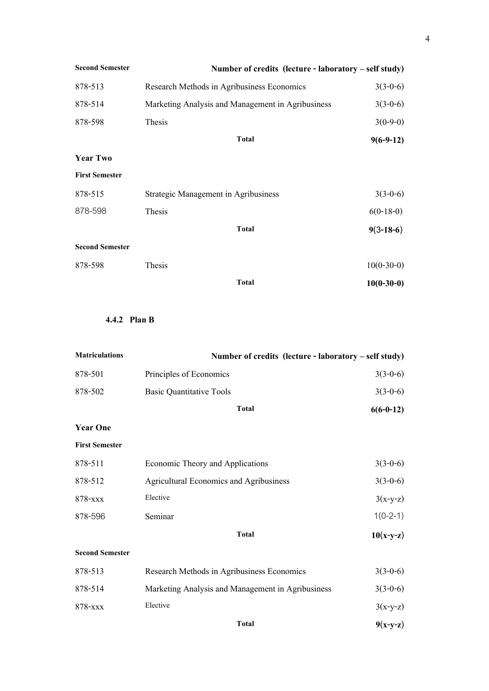| <b>Second Semester</b> | Number of credits (lecture - laboratory – self study) |              |
|------------------------|-------------------------------------------------------|--------------|
| 878-513                | Research Methods in Agribusiness Economics            | $3(3-0-6)$   |
| 878-514                | Marketing Analysis and Management in Agribusiness     | $3(3-0-6)$   |
| 878-598                | Thesis                                                | $3(0-9-0)$   |
|                        | <b>Total</b>                                          | $9(6-9-12)$  |
| <b>Year Two</b>        |                                                       |              |
| <b>First Semester</b>  |                                                       |              |
| 878-515                | <b>Strategic Management in Agribusiness</b>           | $3(3-0-6)$   |
| 878-598                | Thesis                                                | $6(0-18-0)$  |
|                        | <b>Total</b>                                          | $9(3-18-6)$  |
| <b>Second Semester</b> |                                                       |              |
| 878-598                | Thesis                                                | $10(0-30-0)$ |
|                        | <b>Total</b>                                          | $10(0-30-0)$ |

# **4.4.2 Plan B**

| <b>Matriculations</b>  | Number of credits (lecture - laboratory – self study) |             |
|------------------------|-------------------------------------------------------|-------------|
| 878-501                | Principles of Economics                               | $3(3-0-6)$  |
| 878-502                | <b>Basic Quantitative Tools</b>                       | $3(3-0-6)$  |
|                        | <b>Total</b>                                          | $6(6-0-12)$ |
| <b>Year One</b>        |                                                       |             |
| <b>First Semester</b>  |                                                       |             |
| 878-511                | Economic Theory and Applications                      | $3(3-0-6)$  |
| 878-512                | <b>Agricultural Economics and Agribusiness</b>        | $3(3-0-6)$  |
| 878-xxx                | Elective                                              | $3(x-y-z)$  |
| 878-596                | Seminar                                               | $1(0-2-1)$  |
|                        | <b>Total</b>                                          | $10(x-y-z)$ |
| <b>Second Semester</b> |                                                       |             |
| 878-513                | Research Methods in Agribusiness Economics            | $3(3-0-6)$  |
| 878-514                | Marketing Analysis and Management in Agribusiness     | $3(3-0-6)$  |
| 878-xxx                | Elective                                              | $3(x-y-z)$  |
|                        | <b>Total</b>                                          | $9(x-y-z)$  |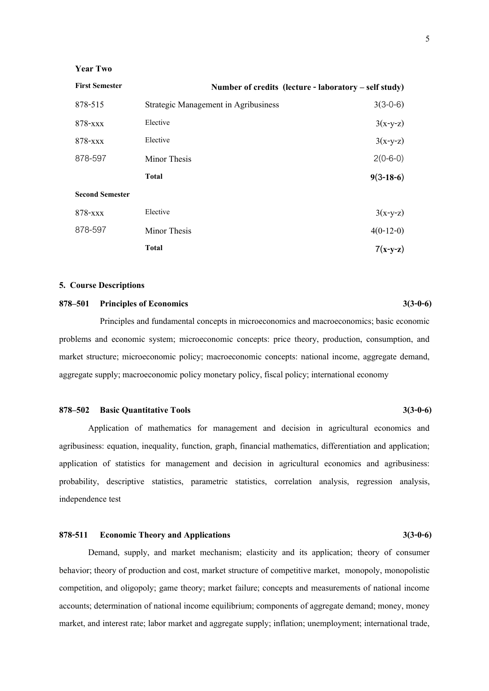#### **Year Two**

| <b>First Semester</b>  |                                             | Number of credits (lecture - laboratory – self study) |
|------------------------|---------------------------------------------|-------------------------------------------------------|
| 878-515                | <b>Strategic Management in Agribusiness</b> | $3(3-0-6)$                                            |
| 878-xxx                | Elective                                    | $3(x-y-z)$                                            |
| 878-xxx                | Elective                                    | $3(x-y-z)$                                            |
| 878-597                | Minor Thesis                                | $2(0-6-0)$                                            |
|                        | <b>Total</b>                                | $9(3-18-6)$                                           |
| <b>Second Semester</b> |                                             |                                                       |
| 878-xxx                | Elective                                    | $3(x-y-z)$                                            |
| 878-597                | Minor Thesis                                | $4(0-12-0)$                                           |
|                        | <b>Total</b>                                | $7(x-y-z)$                                            |

#### **5. Course Descriptions**

### **878–501 Principles of Economics 3(3-0-6)**

Principles and fundamental concepts in microeconomics and macroeconomics; basic economic problems and economic system; microeconomic concepts: price theory, production, consumption, and market structure; microeconomic policy; macroeconomic concepts: national income, aggregate demand, aggregate supply; macroeconomic policy monetary policy, fiscal policy; international economy

#### **878–502 Basic Quantitative Tools 3(3-0-6)**

Application of mathematics for management and decision in agricultural economics and agribusiness: equation, inequality, function, graph, financial mathematics, differentiation and application; application of statistics for management and decision in agricultural economics and agribusiness: probability, descriptive statistics, parametric statistics, correlation analysis, regression analysis, independence test

### **878-511 Economic Theory and Applications 3(3-0-6)**

Demand, supply, and market mechanism; elasticity and its application; theory of consumer behavior; theory of production and cost, market structure of competitive market, monopoly, monopolistic competition, and oligopoly; game theory; market failure; concepts and measurements of national income accounts; determination of national income equilibrium; components of aggregate demand; money, money market, and interest rate; labor market and aggregate supply; inflation; unemployment; international trade,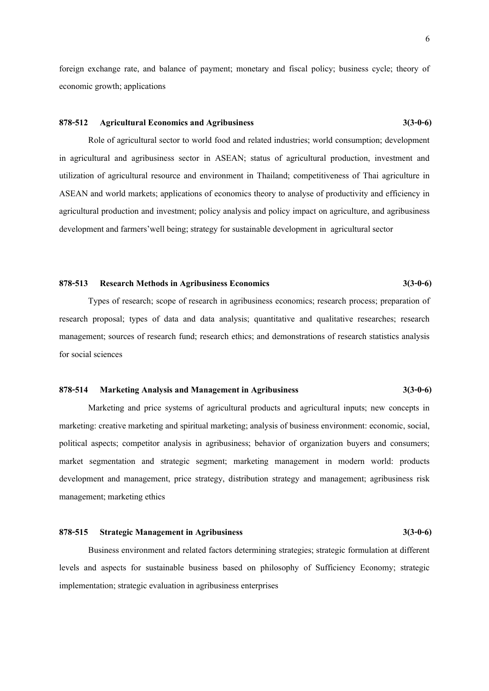foreign exchange rate, and balance of payment; monetary and fiscal policy; business cycle; theory of economic growth; applications

### **878-512 Agricultural Economics and Agribusiness 3(3-0-6)**

Role of agricultural sector to world food and related industries; world consumption; development in agricultural and agribusiness sector in ASEAN; status of agricultural production, investment and utilization of agricultural resource and environment in Thailand; competitiveness of Thai agriculture in ASEAN and world markets; applications of economics theory to analyse of productivity and efficiency in agricultural production and investment; policy analysis and policy impact on agriculture, and agribusiness development and farmers'well being; strategy for sustainable development in agricultural sector

#### **878-513 Research Methods in Agribusiness Economics 3(3-0-6)**

Types of research; scope of research in agribusiness economics; research process; preparation of research proposal; types of data and data analysis; quantitative and qualitative researches; research management; sources of research fund; research ethics; and demonstrations of research statistics analysis for social sciences

### **878-514 Marketing Analysis and Management in Agribusiness 3(3-0-6)**

Marketing and price systems of agricultural products and agricultural inputs; new concepts in marketing: creative marketing and spiritual marketing; analysis of business environment: economic, social, political aspects; competitor analysis in agribusiness; behavior of organization buyers and consumers; market segmentation and strategic segment; marketing management in modern world: products development and management, price strategy, distribution strategy and management; agribusiness risk management; marketing ethics

#### **878-515 Strategic Management in Agribusiness 3(3-0-6)**

Business environment and related factors determining strategies; strategic formulation at different levels and aspects for sustainable business based on philosophy of Sufficiency Economy; strategic implementation; strategic evaluation in agribusiness enterprises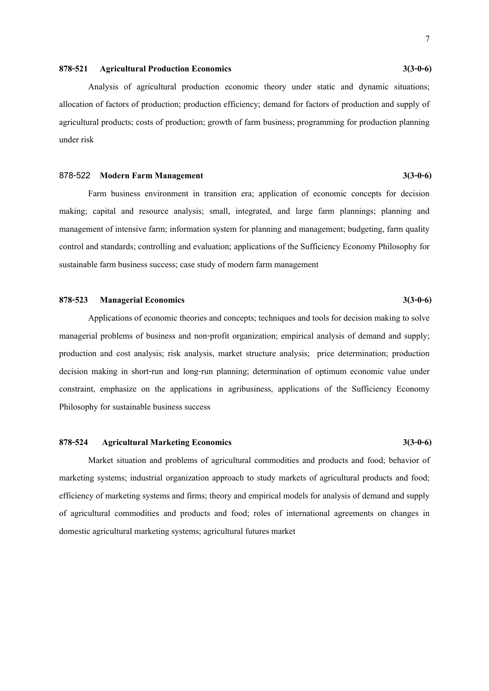#### **878-521 Agricultural Production Economics 3(3-0-6)**

Analysis of agricultural production economic theory under static and dynamic situations; allocation of factors of production; production efficiency; demand for factors of production and supply of agricultural products; costs of production; growth of farm business; programming for production planning under risk

#### **878-522 Modern Farm Management 3(3-0-6)**

Farm business environment in transition era; application of economic concepts for decision making; capital and resource analysis; small, integrated, and large farm plannings; planning and management of intensive farm; information system for planning and management; budgeting, farm quality control and standards; controlling and evaluation; applications of the Sufficiency Economy Philosophy for sustainable farm business success; case study of modern farm management

### **878-523 Managerial Economics 3(3-0-6)**

Applications of economic theories and concepts; techniques and tools for decision making to solve managerial problems of business and non-profit organization; empirical analysis of demand and supply; production and cost analysis; risk analysis, market structure analysis; price determination; production decision making in short-run and long-run planning; determination of optimum economic value under constraint, emphasize on the applications in agribusiness, applications of the Sufficiency Economy Philosophy for sustainable business success

#### **878-524 Agricultural Marketing Economics 3(3-0-6)**

Market situation and problems of agricultural commodities and products and food; behavior of marketing systems; industrial organization approach to study markets of agricultural products and food; efficiency of marketing systems and firms; theory and empirical models for analysis of demand and supply of agricultural commodities and products and food; roles of international agreements on changes in domestic agricultural marketing systems; agricultural futures market

7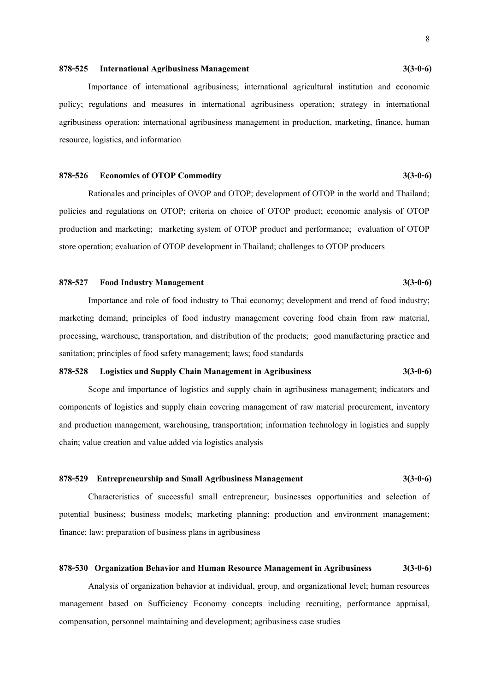#### **878-525 International Agribusiness Management 3(3-0-6)**

Importance of international agribusiness; international agricultural institution and economic policy; regulations and measures in international agribusiness operation; strategy in international agribusiness operation; international agribusiness management in production, marketing, finance, human resource, logistics, and information

#### **878-526 Economics of OTOP Commodity 3(3-0-6)**

Rationales and principles of OVOP and OTOP; development of OTOP in the world and Thailand; policies and regulations on OTOP; criteria on choice of OTOP product; economic analysis of OTOP production and marketing; marketing system of OTOP product and performance; evaluation of OTOP store operation; evaluation of OTOP development in Thailand; challenges to OTOP producers

#### **878-527 Food Industry Management 3(3-0-6)**

Importance and role of food industry to Thai economy; development and trend of food industry; marketing demand; principles of food industry management covering food chain from raw material, processing, warehouse, transportation, and distribution of the products; good manufacturing practice and sanitation; principles of food safety management; laws; food standards

### **878-528 Logistics and Supply Chain Management in Agribusiness 3(3-0-6)**

Scope and importance of logistics and supply chain in agribusiness management; indicators and components of logistics and supply chain covering management of raw material procurement, inventory and production management, warehousing, transportation; information technology in logistics and supply chain; value creation and value added via logistics analysis

#### **878-529 Entrepreneurship and Small Agribusiness Management 3(3-0-6)**

Characteristics of successful small entrepreneur; businesses opportunities and selection of potential business; business models; marketing planning; production and environment management; finance; law; preparation of business plans in agribusiness

#### **878-530 Organization Behavior and Human Resource Management in Agribusiness 3(3-0-6)**

Analysis of organization behavior at individual, group, and organizational level; human resources management based on Sufficiency Economy concepts including recruiting, performance appraisal, compensation, personnel maintaining and development; agribusiness case studies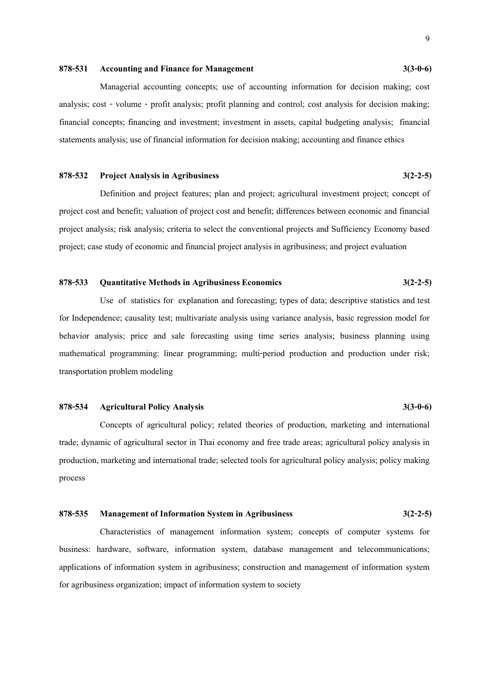#### **878-531 Accounting and Finance for Management 3(3-0-6)**

Managerial accounting concepts; use of accounting information for decision making; cost analysis; cost - volume - profit analysis; profit planning and control; cost analysis for decision making; financial concepts; financing and investment; investment in assets, capital budgeting analysis; financial statements analysis; use of financial information for decision making; accounting and finance ethics

#### **878-532 Project Analysis in Agribusiness 3(2-2-5)**

Definition and project features; plan and project; agricultural investment project; concept of project cost and benefit; valuation of project cost and benefit; differences between economic and financial project analysis; risk analysis; criteria to select the conventional projects and Sufficiency Economy based project; case study of economic and financial project analysis in agribusiness; and project evaluation

#### **878-533 Quantitative Methods in Agribusiness Economics 3(2-2-5)**

Use of statistics for explanation and forecasting; types of data; descriptive statistics and test for Independence; causality test; multivariate analysis using variance analysis, basic regression model for behavior analysis; price and sale forecasting using time series analysis; business planning using mathematical programming: linear programming; multi-period production and production under risk; transportation problem modeling

#### **878-534 Agricultural Policy Analysis 3(3-0-6)**

 Concepts of agricultural policy; related theories of production, marketing and international trade; dynamic of agricultural sector in Thai economy and free trade areas; agricultural policy analysis in production, marketing and international trade; selected tools for agricultural policy analysis; policy making process

#### **878-535 Management of Information System in Agribusiness 3(2-2-5)**

Characteristics of management information system; concepts of computer systems for business: hardware, software, information system, database management and telecommunications; applications of information system in agribusiness; construction and management of information system for agribusiness organization; impact of information system to society